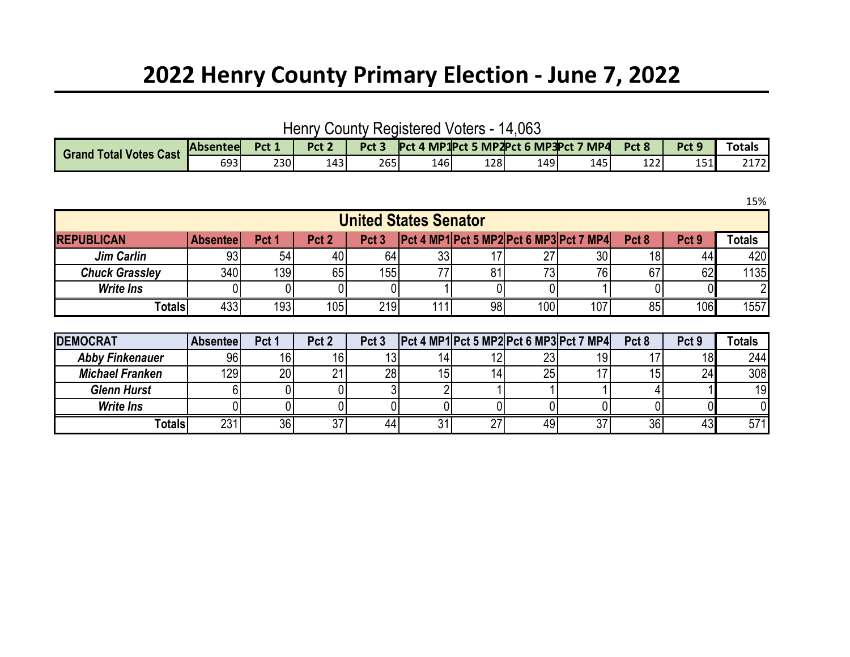## **2022 Henry County Primary Election - June 7, 2022**

Henry County Registered Voters - 14,063

| <b>Grand Total Votes</b><br><b>Cast</b> | <b>Absentee</b> | Prt 1 | Pct <sub>2</sub><br>. LL 4 | Pct 3 | Pct  | . MP1Prt 5 |     | 5 MP2Pct 6 MP3Pct 7 MP4 | Pct 8       | Pct <sub>S</sub> | Totals         |
|-----------------------------------------|-----------------|-------|----------------------------|-------|------|------------|-----|-------------------------|-------------|------------------|----------------|
|                                         | 693             | 230   | 143                        | 265   | 146' | 128        | 149 | 145                     | ר רו<br>ᅩ᠘᠘ | 151              | วงรวไ<br>217ZI |

**REPUBLICAN Absentee Pct 1 Pct 2 Pct 3 Pct 4 MP1 Pct 5 MP2 Pct 6 MP3 Pct 7 MP4 Pct 8 Pct 9 Totals** *Jim Carlin* | 93| 54| 40| 64| 33| 17| 27| 30| 18| 44| 420 **Chuck Grassley** | 340 139 65 155 77 81 73 76 67 62 1135 *Write Ins* 0 0 0 0 1 0 0 2 2 **Totals** 433 193 105 219 111 98 100 107 85 106 1557 **United States Senator**

| <b>DEMOCRAT</b>        | <b>Absenteel</b> | Pct 1 | Pct <sub>2</sub> | Pct <sub>3</sub> |    |           | $\left  \text{Pet } 4 \text{ MP1} \right $ Pct 5 MP2 Pct 6 MP3 Pct 7 MP4 | Pct <sub>8</sub> | Pct <sub>9</sub> | Totals |
|------------------------|------------------|-------|------------------|------------------|----|-----------|--------------------------------------------------------------------------|------------------|------------------|--------|
| <b>Abby Finkenauer</b> | 96               | 16    |                  |                  |    | າາ<br>د ے |                                                                          |                  | 18               | 244    |
| <b>Michael Franken</b> | 129              | 20    |                  | 28               | 14 | 25        |                                                                          |                  | 24 <sub>1</sub>  | 308    |
| <b>Glenn Hurst</b>     |                  |       |                  |                  |    |           |                                                                          |                  |                  | 19     |
| <b>Write Ins</b>       |                  |       |                  |                  |    |           |                                                                          |                  |                  |        |
| <b>Totals</b>          | 231 <sub>1</sub> | 36    | JΙ               | 44               | 27 | 49        |                                                                          | 36               | 40               | 571    |

15%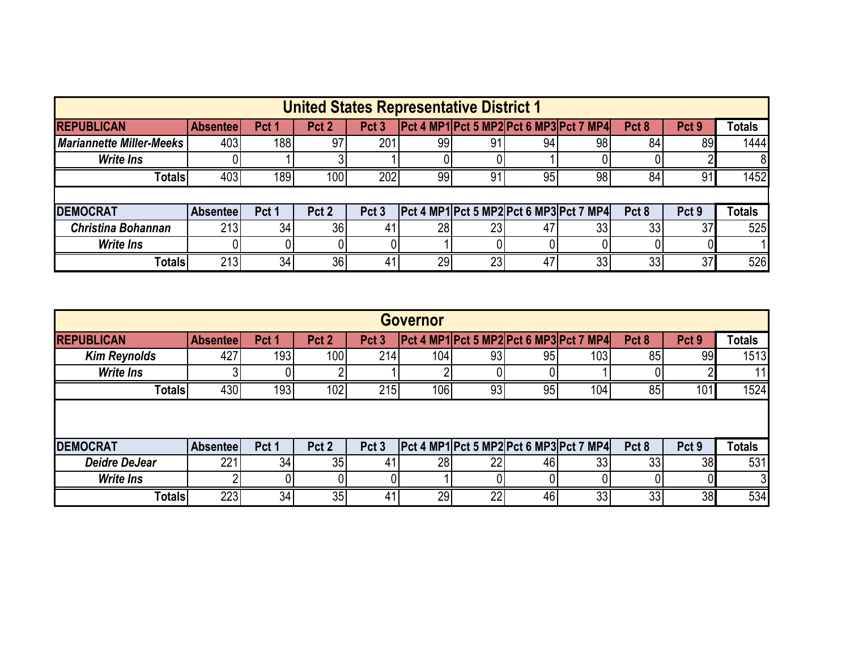|                                                                                                    | <b>United States Representative District 1</b> |                  |                  |                  |    |                 |    |                                                                                                                                                   |                  |                  |        |  |  |  |  |
|----------------------------------------------------------------------------------------------------|------------------------------------------------|------------------|------------------|------------------|----|-----------------|----|---------------------------------------------------------------------------------------------------------------------------------------------------|------------------|------------------|--------|--|--|--|--|
| <b>REPUBLICAN</b>                                                                                  | <b>Absenteel</b>                               | Pct <sub>1</sub> | Pct <sub>2</sub> | Pct <sub>3</sub> |    |                 |    | $\left  \frac{\text{Det } 4 \text{ MP1} \cdot \text{Pct } 5 \text{ MP2} \cdot \text{Pct } 6 \text{ MP3} \cdot \text{Pct } 7 \text{ MP4} \right }$ | Pct <sub>8</sub> | Pct <sub>9</sub> | Totals |  |  |  |  |
| <b>Mariannette Miller-Meeks</b>                                                                    | 403                                            | 188              | 97               | 201              | 99 | 91              | 94 | 98 <sub>1</sub>                                                                                                                                   | 84               | 89               | 1444   |  |  |  |  |
| <b>Write Ins</b>                                                                                   |                                                |                  |                  |                  |    |                 |    |                                                                                                                                                   |                  |                  | 8      |  |  |  |  |
| 403<br>189<br>202<br>99<br>100 <sub>1</sub><br>91<br>1452<br>95<br>98<br>84<br>91<br><b>Totals</b> |                                                |                  |                  |                  |    |                 |    |                                                                                                                                                   |                  |                  |        |  |  |  |  |
|                                                                                                    |                                                |                  |                  |                  |    |                 |    |                                                                                                                                                   |                  |                  |        |  |  |  |  |
| <b>DEMOCRAT</b>                                                                                    | Absenteel                                      | Pct 1            | Pct <sub>2</sub> | Pct <sub>3</sub> |    |                 |    | Pct 4 MP1 Pct 5 MP2 Pct 6 MP3 Pct 7 MP4                                                                                                           | Pct 8            | Pct <sub>9</sub> | Totals |  |  |  |  |
| <b>Christina Bohannan</b>                                                                          | 213                                            | 34               | 36               | 41               | 28 | 23              | 47 | 33                                                                                                                                                | 33               | 37               | 525    |  |  |  |  |
| <b>Write Ins</b>                                                                                   |                                                |                  |                  |                  |    |                 |    |                                                                                                                                                   |                  |                  |        |  |  |  |  |
| <b>Totals</b>                                                                                      | 213                                            | 34               | 36 <sub>1</sub>  | 41               | 29 | 23 <sub>l</sub> | 47 | 33 <sub>1</sub>                                                                                                                                   | 33               | 37               | 526    |  |  |  |  |

| <b>Governor</b>      |                 |                  |                  |                  |                  |    |    |                                                |                  |                  |               |  |  |
|----------------------|-----------------|------------------|------------------|------------------|------------------|----|----|------------------------------------------------|------------------|------------------|---------------|--|--|
| <b>REPUBLICAN</b>    | <b>Absentee</b> | Pct <sub>1</sub> | Pct <sub>2</sub> | Pct <sub>3</sub> |                  |    |    | <b>Pct 4 MP1 Pct 5 MP2 Pct 6 MP3 Pct 7 MP4</b> | Pct <sub>8</sub> | Pct <sub>9</sub> | <b>Totals</b> |  |  |
| <b>Kim Reynolds</b>  | 427             | 1931             | 100              | 214              | 104 <sub>1</sub> | 93 | 95 | 103 <sub>1</sub>                               | 85               | 99               | 1513          |  |  |
| <b>Write Ins</b>     |                 |                  |                  |                  |                  |    |    |                                                |                  |                  | 11            |  |  |
| <b>Totals</b>        | 430             | 193              | 102              | 215              | 106              | 93 | 95 | 104 <sub>1</sub>                               | 85               | 101              | 1524          |  |  |
|                      |                 |                  |                  |                  |                  |    |    |                                                |                  |                  |               |  |  |
| <b>DEMOCRAT</b>      | <b>Absentee</b> | Pct <sub>1</sub> | Pct <sub>2</sub> | Pct <sub>3</sub> |                  |    |    | $ Pct 4 MP1 $ Pct 5 MP2 Pct 6 MP3 Pct 7 MP4    | Pct <sub>8</sub> | Pct <sub>9</sub> | <b>Totals</b> |  |  |
| <b>Deidre DeJear</b> | 221             | 34               | 35               | -41              | 28               | 22 | 46 | 33                                             | 33               | 38               | 531           |  |  |
| <b>Write Ins</b>     |                 |                  |                  |                  |                  |    |    |                                                |                  |                  |               |  |  |
| <b>Totals</b>        | 2231            | 34               | 35 <sub>1</sub>  | 41               | 29               | 22 | 46 | 33                                             | 33               | 38               | 534           |  |  |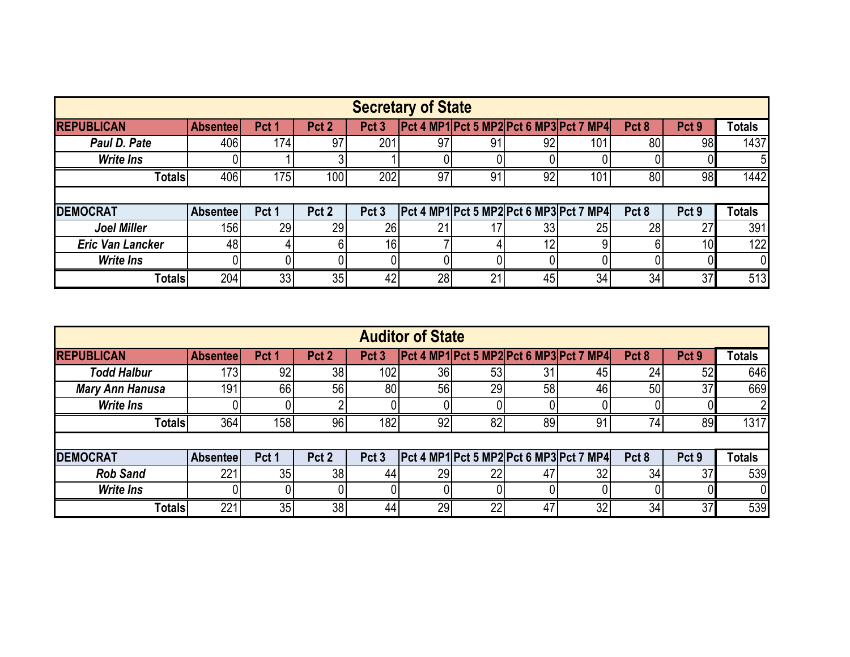| <b>Secretary of State</b> |                 |       |                  |                  |    |    |    |                                             |                  |                  |               |  |  |
|---------------------------|-----------------|-------|------------------|------------------|----|----|----|---------------------------------------------|------------------|------------------|---------------|--|--|
| <b>REPUBLICAN</b>         | <b>Absentee</b> | Pct 1 | Pct <sub>2</sub> | Pct <sub>3</sub> |    |    |    | $ Pct 4 MP1 $ Pct 5 MP2 Pct 6 MP3 Pct 7 MP4 | Pct <sub>8</sub> | Pct <sub>9</sub> | <b>Totals</b> |  |  |
| Paul D. Pate              | 406             | 174   | 97               | 201              | 97 | 91 | 92 | 101                                         | 80 <sub>l</sub>  | 98               | 1437          |  |  |
| <b>Write Ins</b>          |                 |       |                  |                  |    |    |    |                                             |                  |                  |               |  |  |
| <b>Totals</b>             | 406             | 175   | 100 <sub>1</sub> | 202              | 97 | 91 | 92 | 101                                         | 80               | 98               | 1442          |  |  |
|                           |                 |       |                  |                  |    |    |    |                                             |                  |                  |               |  |  |
| <b>IDEMOCRAT</b>          | <b>Absentee</b> | Pct 1 | Pct <sub>2</sub> | Pct <sub>3</sub> |    |    |    | $[Pet 4 MP1]$ Pct 5 MP2 Pct 6 MP3 Pct 7 MP4 | Pct <sub>8</sub> | Pct <sub>9</sub> | Totals        |  |  |
| <b>Joel Miller</b>        | 156             | 29    | 29               | 26               | 21 |    | 33 | 25                                          | 28               | 27               | 391           |  |  |
| <b>Eric Van Lancker</b>   | 48              |       |                  | 16 <sub>1</sub>  |    |    | 12 |                                             |                  | 10 <sub>l</sub>  | 122           |  |  |
| <b>Write Ins</b>          |                 |       |                  |                  |    |    |    |                                             |                  |                  |               |  |  |
| <b>Totals</b>             | 204             | 33    | 35               | 42               | 28 | 21 | 45 | 34                                          | 34               | 37               | 513           |  |  |

|                        |                 |                  |                  |                  | <b>Auditor of State</b> |    |    |                                                |                  |                  |               |
|------------------------|-----------------|------------------|------------------|------------------|-------------------------|----|----|------------------------------------------------|------------------|------------------|---------------|
| <b>REPUBLICAN</b>      | <b>Absentee</b> | Pct <sub>1</sub> | Pct <sub>2</sub> | Pct <sub>3</sub> |                         |    |    | <b>Pct 4 MP1 Pct 5 MP2 Pct 6 MP3 Pct 7 MP4</b> | Pct <sub>8</sub> | Pct <sub>9</sub> | <b>Totals</b> |
| <b>Todd Halbur</b>     | $173$           | 92               | 38               | 102              | 36                      | 53 | 31 | 45                                             | 24               | 52               | 646           |
| <b>Mary Ann Hanusa</b> | 191             | 66               | 56               | 80               | 56                      | 29 | 58 | 46                                             | 50               | 37               | 669           |
| <b>Write Ins</b>       |                 |                  |                  |                  |                         |    |    |                                                |                  |                  |               |
| <b>Totals</b>          | 364             | 158              | 96               | 182              | 92                      | 82 | 89 | 91                                             | 74               | 89               | 1317          |
|                        |                 |                  |                  |                  |                         |    |    |                                                |                  |                  |               |
| <b>DEMOCRAT</b>        | Absenteel       | Pct 1            | Pct 2            | Pct <sub>3</sub> |                         |    |    | Pct 4 MP1 Pct 5 MP2 Pct 6 MP3 Pct 7 MP4        | Pct <sub>8</sub> | Pct 9            | <b>Totals</b> |
| <b>Rob Sand</b>        | 221             | 35               | 38               | 44               | 29                      | 22 | 47 | 32                                             | 34               | 37               | 539           |
| <b>Write Ins</b>       |                 |                  |                  |                  |                         |    |    |                                                |                  |                  | 0             |
| <b>Totals</b>          | 221             | 35               | 38               | 44               | 29                      | 22 | 47 | 32                                             | 34               | 37               | 539           |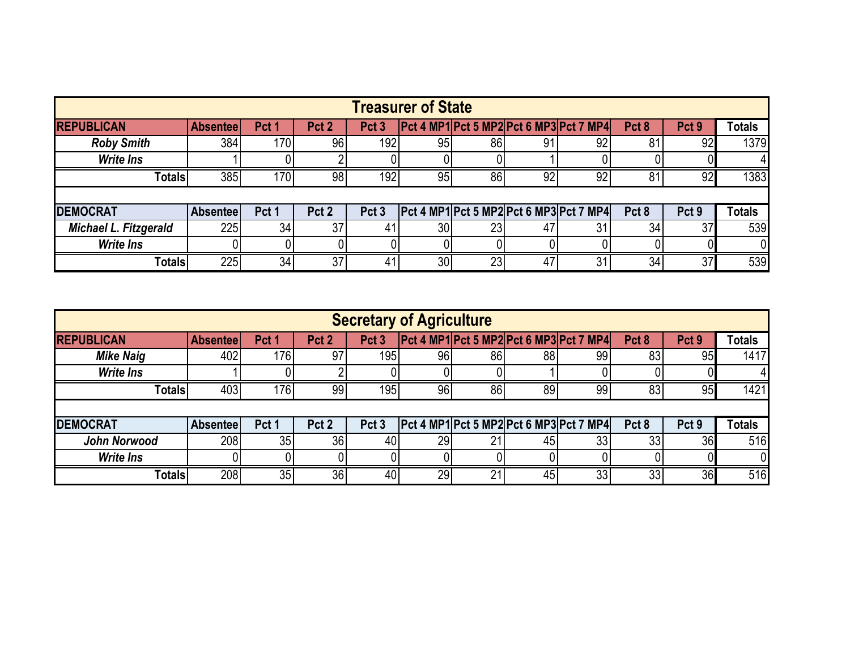| <b>Treasurer of State</b>                                                                         |                  |                  |                  |                  |                 |    |     |                                                                                            |                  |                  |               |  |  |
|---------------------------------------------------------------------------------------------------|------------------|------------------|------------------|------------------|-----------------|----|-----|--------------------------------------------------------------------------------------------|------------------|------------------|---------------|--|--|
| <b>REPUBLICAN</b>                                                                                 | <b>Absenteel</b> | Pct <sub>1</sub> | Pct 2            | Pct <sub>3</sub> |                 |    |     | $\left  \frac{\text{Pct 4 MP1} \text{Pct 5 MP2} \text{Pct 6 MP3} \text{Pct 7 MP4} \right $ | Pct <sub>8</sub> | Pct <sub>9</sub> | <b>Totals</b> |  |  |
| <b>Roby Smith</b>                                                                                 | 384              | 170              | 96               | 192              | 95              | 86 | 91. | 92                                                                                         | 81               | 92               | 1379          |  |  |
| <b>Write Ins</b>                                                                                  |                  |                  |                  |                  |                 |    |     |                                                                                            |                  |                  |               |  |  |
| 385<br>192<br>86<br>92<br>1383<br>170<br>98 <sub>1</sub><br>95<br>92<br>92<br>81<br><b>Totals</b> |                  |                  |                  |                  |                 |    |     |                                                                                            |                  |                  |               |  |  |
|                                                                                                   |                  |                  |                  |                  |                 |    |     |                                                                                            |                  |                  |               |  |  |
| <b>DEMOCRAT</b>                                                                                   | Absentee         | Pct 1            | Pct <sub>2</sub> | Pct <sub>3</sub> |                 |    |     | Pct 4 MP1 Pct 5 MP2 Pct 6 MP3 Pct 7 MP4                                                    | Pct 8            | Pct <sub>9</sub> | Totals        |  |  |
| Michael L. Fitzgerald                                                                             | 225              | 34               | 37 <sub>1</sub>  | 41               | 30 <sub>l</sub> | 23 | 47  | 31                                                                                         | 34               | 37               | 539           |  |  |
| <b>Write Ins</b>                                                                                  |                  |                  |                  |                  |                 |    |     |                                                                                            |                  |                  |               |  |  |
| <b>Totals</b>                                                                                     | 2251             | 34               | 37 <sub>1</sub>  | 41               | 30 <sub>1</sub> | 23 | 47  | 31                                                                                         | 34               | 37               | 539           |  |  |

| <b>Secretary of Agriculture</b>                                                       |                  |                  |                  |                  |    |    |    |                                         |                  |                  |               |  |  |
|---------------------------------------------------------------------------------------|------------------|------------------|------------------|------------------|----|----|----|-----------------------------------------|------------------|------------------|---------------|--|--|
| <b>REPUBLICAN</b>                                                                     | <b>Absenteel</b> | Pct <sub>1</sub> | Pct <sub>2</sub> | Pct <sub>3</sub> |    |    |    | Pct 4 MP1 Pct 5 MP2 Pct 6 MP3 Pct 7 MP4 | Pct <sub>8</sub> | Pct <sub>9</sub> | <b>Totals</b> |  |  |
| <b>Mike Naig</b>                                                                      | 402              | 176              | 97               | 195              | 96 | 86 | 88 | 99                                      | 83               | 95               | 1417          |  |  |
| <b>Write Ins</b>                                                                      |                  |                  |                  |                  |    |    |    |                                         |                  |                  |               |  |  |
| 403<br>1421<br> 76 <br>96<br>99<br>195<br>86<br>89<br>83<br><b>Totals</b><br>99<br>95 |                  |                  |                  |                  |    |    |    |                                         |                  |                  |               |  |  |
|                                                                                       |                  |                  |                  |                  |    |    |    |                                         |                  |                  |               |  |  |
| <b>DEMOCRAT</b>                                                                       | <b>Absenteel</b> | Pct 1            | Pct <sub>2</sub> | Pct 3            |    |    |    | Pct 4 MP1 Pct 5 MP2 Pct 6 MP3 Pct 7 MP4 | Pct <sub>8</sub> | Pct <sub>9</sub> | <b>Totals</b> |  |  |
| John Norwood                                                                          | 208              | 35               | 36               | 40               | 29 | 21 | 45 | 33 <sub>1</sub>                         | 33 <sub>1</sub>  | 36               | 516           |  |  |
| <b>Write Ins</b>                                                                      |                  |                  |                  |                  |    |    |    |                                         |                  |                  |               |  |  |
| Totals                                                                                | 208              | 35               | 36               | 40               | 29 | 21 | 45 | 33                                      | 33               | 36               | 516           |  |  |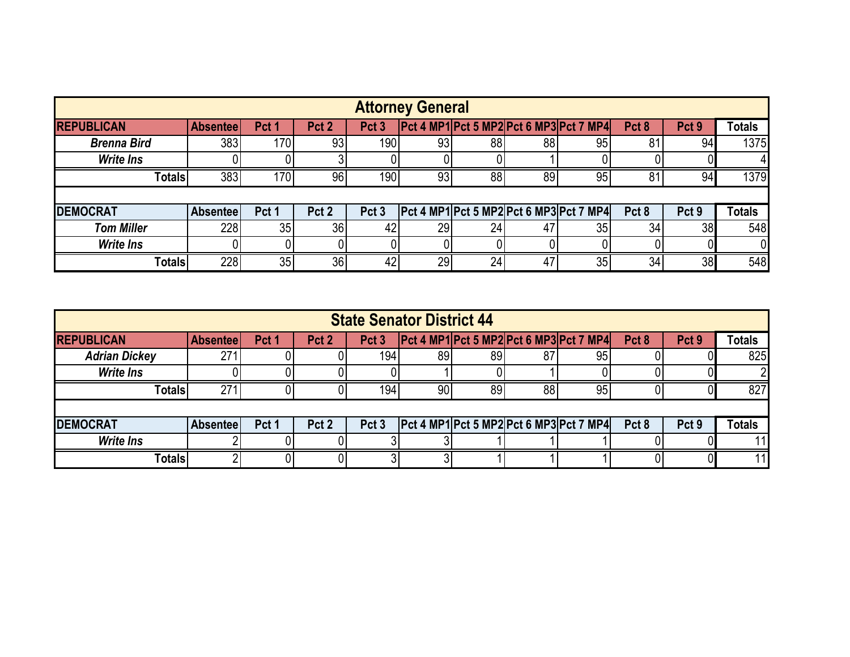|                    | <b>Attorney General</b> |                  |                  |                  |           |    |    |                                                                                                                                                   |                  |                  |               |  |  |  |
|--------------------|-------------------------|------------------|------------------|------------------|-----------|----|----|---------------------------------------------------------------------------------------------------------------------------------------------------|------------------|------------------|---------------|--|--|--|
| <b>REPUBLICAN</b>  | <b>Absentee</b>         | Pct <sub>1</sub> | Pct 2            | Pct <sub>3</sub> |           |    |    | $\left  \frac{\text{Det } 4 \text{ MP1} \cdot \text{Pct } 5 \text{ MP2} \cdot \text{Pct } 6 \text{ MP3} \cdot \text{Pct } 7 \text{ MP4} \right }$ | Pct <sub>8</sub> | Pct 9            | <b>Totals</b> |  |  |  |
| <b>Brenna Bird</b> | 383                     | 170              | 93               | 190              | 93        | 88 | 88 | 95                                                                                                                                                | 81               | 94               | 1375          |  |  |  |
| <b>Write Ins</b>   |                         |                  |                  |                  |           |    |    |                                                                                                                                                   |                  |                  |               |  |  |  |
| <b>Totals</b>      | 383                     | 170              | 96               | 190 <sub>l</sub> | 93        | 88 | 89 | 95                                                                                                                                                | 81               | 94               | 1379          |  |  |  |
|                    |                         |                  |                  |                  |           |    |    |                                                                                                                                                   |                  |                  |               |  |  |  |
| <b>DEMOCRAT</b>    | <b>Absentee</b>         | Pct 1            | Pct <sub>2</sub> | Pct <sub>3</sub> |           |    |    | Pct 4 MP1 Pct 5 MP2 Pct 6 MP3 Pct 7 MP4                                                                                                           | Pct 8            | Pct <sub>9</sub> | Totals        |  |  |  |
| <b>Tom Miller</b>  | 228                     | 35               | 36               | 42               | <b>29</b> | 24 | 47 | 35                                                                                                                                                | 34               | 38               | 548           |  |  |  |
| <b>Write Ins</b>   |                         |                  |                  |                  |           |    |    |                                                                                                                                                   |                  |                  | 01            |  |  |  |
| <b>Totals</b>      | 228                     | 35 <sub>1</sub>  | 36 <sup>1</sup>  | 42               | 29        | 24 | 47 | 35 <sub>1</sub>                                                                                                                                   | 34               | 38               | 548           |  |  |  |

| <b>State Senator District 44</b> |                  |                  |                  |                  |    |    |    |                                                                                                                                                   |                  |                  |               |  |  |
|----------------------------------|------------------|------------------|------------------|------------------|----|----|----|---------------------------------------------------------------------------------------------------------------------------------------------------|------------------|------------------|---------------|--|--|
| <b>REPUBLICAN</b>                | <b>Absenteel</b> | Pct <sub>1</sub> | Pct <sub>2</sub> | Pct <sub>3</sub> |    |    |    | $\left  \frac{\text{Det } 4 \text{ MP1} \cdot \text{Pct } 5 \text{ MP2} \cdot \text{Pct } 6 \text{ MP3} \cdot \text{Pct } 7 \text{ MP4} \right }$ | Pct <sub>8</sub> | Pct <sub>9</sub> | <b>Totals</b> |  |  |
| <b>Adrian Dickey</b>             | 271              |                  |                  | 194 <sub>1</sub> | 89 | 89 | 87 | 95                                                                                                                                                |                  |                  | 825           |  |  |
| <b>Write Ins</b>                 |                  |                  |                  |                  |    |    |    |                                                                                                                                                   |                  |                  |               |  |  |
| <b>Totals</b>                    | 271              |                  |                  | 194              | 90 | 89 | 88 | 95                                                                                                                                                |                  |                  | 827           |  |  |
|                                  |                  |                  |                  |                  |    |    |    |                                                                                                                                                   |                  |                  |               |  |  |
| <b>DEMOCRAT</b>                  | <b>Absentee</b>  | Pct 1            | Pct 2            | Pct 3            |    |    |    | $\left  \text{Pet } 4 \text{ MP1} \right $ Pct 5 MP2 $\left  \text{Pet } 6 \text{ MP3} \right $ Pct 7 MP4 $\left  \right $                        | Pct <sub>8</sub> | Pct <sub>9</sub> | <b>Totals</b> |  |  |
| <b>Write Ins</b>                 |                  |                  |                  |                  |    |    |    |                                                                                                                                                   |                  |                  | 11            |  |  |
| Totals                           |                  |                  |                  |                  |    |    |    |                                                                                                                                                   |                  |                  |               |  |  |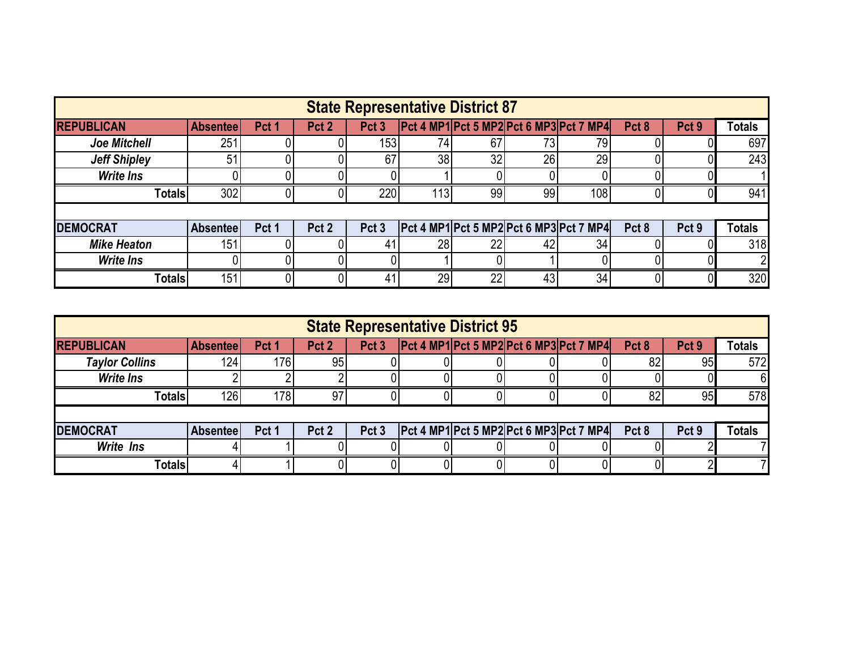|                     |                 |                  |                  |                  |      | <b>State Representative District 87</b> |     |                                         |                  |                  |               |
|---------------------|-----------------|------------------|------------------|------------------|------|-----------------------------------------|-----|-----------------------------------------|------------------|------------------|---------------|
| <b>REPUBLICAN</b>   | <b>Absentee</b> | Pct <sub>1</sub> | Pct <sub>2</sub> | Pct <sub>3</sub> |      |                                         |     | Pct 4 MP1 Pct 5 MP2 Pct 6 MP3 Pct 7 MP4 | Pct <sub>8</sub> | Pct <sub>9</sub> | <b>Totals</b> |
| <b>Joe Mitchell</b> | 251             |                  |                  | 153 <sub>1</sub> | 74   | 67                                      | 73I | 79                                      |                  |                  | 697           |
| <b>Jeff Shipley</b> | 51              |                  |                  | 67               | 38   | 32                                      | 26  | 29                                      |                  |                  | 243           |
| <b>Write Ins</b>    |                 |                  |                  |                  |      |                                         |     |                                         |                  |                  |               |
| <b>Totals</b>       | 302             |                  |                  | 220              | 113I | 99                                      | 99  | 108 <sub>1</sub>                        |                  |                  | 941           |
|                     |                 |                  |                  |                  |      |                                         |     |                                         |                  |                  |               |
| <b>DEMOCRAT</b>     | <b>Absentee</b> | Pct <sub>1</sub> | Pct <sub>2</sub> | Pct <sub>3</sub> |      |                                         |     | Pct 4 MP1 Pct 5 MP2 Pct 6 MP3 Pct 7 MP4 | Pct 8            | Pct <sub>9</sub> | <b>Totals</b> |
| <b>Mike Heaton</b>  | 151             |                  |                  | 41               | 28   | 22 <sub>1</sub>                         | 42  | 34                                      |                  |                  | 318           |
| <b>Write Ins</b>    |                 |                  |                  |                  |      |                                         |     |                                         |                  |                  |               |
| <b>Totals</b>       | 151             |                  |                  | 41               | 29   | 22                                      | 43  | 34 <sub>1</sub>                         |                  |                  | 320           |

| <b>State Representative District 95</b> |                  |                  |                  |                  |  |  |  |                                                                                                                                                   |                  |                  |               |  |  |
|-----------------------------------------|------------------|------------------|------------------|------------------|--|--|--|---------------------------------------------------------------------------------------------------------------------------------------------------|------------------|------------------|---------------|--|--|
| <b>REPUBLICAN</b>                       | <b>Absenteel</b> | Pct <sub>1</sub> | Pct <sub>2</sub> | Pct <sub>3</sub> |  |  |  | $\left  \frac{\text{Det } 4 \text{ MP1} \cdot \text{Pct } 5 \text{ MP2} \cdot \text{Pct } 6 \text{ MP3} \cdot \text{Pct } 7 \text{ MP4} \right }$ | Pct <sub>8</sub> | Pct <sub>9</sub> | <b>Totals</b> |  |  |
| <b>Taylor Collins</b>                   | 124 <sub>1</sub> | 176              | 95               |                  |  |  |  |                                                                                                                                                   | 82               | 95               | 572           |  |  |
| <b>Write Ins</b>                        |                  |                  |                  |                  |  |  |  |                                                                                                                                                   |                  |                  |               |  |  |
| <b>Totals</b>                           | 126              | 78               | 97               |                  |  |  |  |                                                                                                                                                   | 82               | 95               | 578           |  |  |
|                                         |                  |                  |                  |                  |  |  |  |                                                                                                                                                   |                  |                  |               |  |  |
| <b>DEMOCRAT</b>                         | <b>Absenteel</b> | Pct 1            | Pct 2            | Pct <sub>3</sub> |  |  |  | $\left  \frac{\text{Det 4 MP1} \text{Pct 5 MP2} \text{Pct 6 MP3} \text{Pct 7 MP4} \right $                                                        | Pct <sub>8</sub> | Pct <sub>9</sub> | <b>Totals</b> |  |  |
| <b>Write Ins</b>                        |                  |                  |                  |                  |  |  |  |                                                                                                                                                   |                  |                  |               |  |  |
| Totals                                  |                  |                  |                  |                  |  |  |  |                                                                                                                                                   |                  |                  |               |  |  |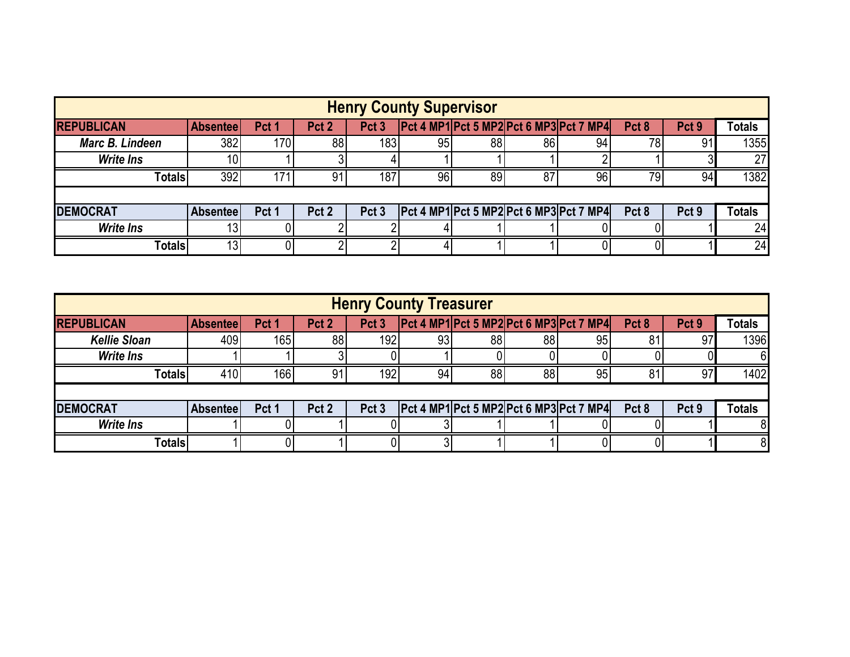| <b>Henry County Supervisor</b> |                 |                  |                  |                  |    |    |     |                                             |                  |                  |               |
|--------------------------------|-----------------|------------------|------------------|------------------|----|----|-----|---------------------------------------------|------------------|------------------|---------------|
| <b>REPUBLICAN</b>              | <b>Absentee</b> | Pct <sub>1</sub> | Pct <sub>2</sub> | Pct <sub>3</sub> |    |    |     | $[Pet 4 MP1]$ Pct 5 MP2 Pct 6 MP3 Pct 7 MP4 | Pct <sub>8</sub> | Pct <sub>9</sub> | <b>Totals</b> |
| Marc B. Lindeen                | 382             | 170              | 88               | 183              | 95 | 88 | 861 | 94                                          | 78               | 91               | 1355          |
| <b>Write Ins</b>               | 10              |                  |                  |                  |    |    |     |                                             |                  |                  | 27            |
| <b>Totals</b>                  | 392             | 171              | 91               | 187 <sub>1</sub> | 96 | 89 | 87  | 96                                          | 79.              | 94               | 1382          |
|                                |                 |                  |                  |                  |    |    |     |                                             |                  |                  |               |
| <b>DEMOCRAT</b>                | <b>Absentee</b> | Pct 1            | Pct <sub>2</sub> | Pct <sub>3</sub> |    |    |     | $Pct 4 MP1$ Pct 5 MP2 Pct 6 MP3 Pct 7 MP4   | Pct <sub>8</sub> | Pct <sub>9</sub> | <b>Totals</b> |
| <b>Write Ins</b>               |                 |                  |                  |                  |    |    |     |                                             |                  |                  | 24            |
| Totals                         | 13 <sub>1</sub> |                  |                  |                  |    |    |     |                                             |                  |                  | 24            |

| <b>Henry County Treasurer</b> |                  |                  |                  |                  |    |    |    |                                             |                  |                  |               |  |
|-------------------------------|------------------|------------------|------------------|------------------|----|----|----|---------------------------------------------|------------------|------------------|---------------|--|
| <b>REPUBLICAN</b>             | <b>Absentee</b>  | Pct <sub>1</sub> | Pct <sub>2</sub> | Pct <sub>3</sub> |    |    |    | $[Pet 4 MP1]$ Pct 5 MP2 Pct 6 MP3 Pct 7 MP4 | Pct <sub>8</sub> | Pct <sub>9</sub> | <b>Totals</b> |  |
| <b>Kellie Sloan</b>           | 409              | 165              | 88               | 192              | 93 | 88 | 88 | 95                                          | 81               | 97               | 1396          |  |
| <b>Write Ins</b>              |                  |                  |                  |                  |    |    |    |                                             |                  |                  | 6             |  |
| <b>Totals</b>                 | 410              | 166              | 91               | 192              | 94 | 88 | 88 | 95                                          | 81               | 97               | 1402          |  |
|                               |                  |                  |                  |                  |    |    |    |                                             |                  |                  |               |  |
| <b>DEMOCRAT</b>               | <b>Absenteel</b> | Pct 1            | Pct <sub>2</sub> | Pct <sub>3</sub> |    |    |    | $ Pct 4 MP1 $ Pct 5 MP2 Pct 6 MP3 Pct 7 MP4 | Pct 8            | Pct <sub>9</sub> | <b>Totals</b> |  |
| <b>Write Ins</b>              |                  |                  |                  |                  |    |    |    |                                             |                  |                  |               |  |
| <b>Totals</b>                 |                  |                  |                  |                  |    |    |    |                                             |                  |                  | 8             |  |